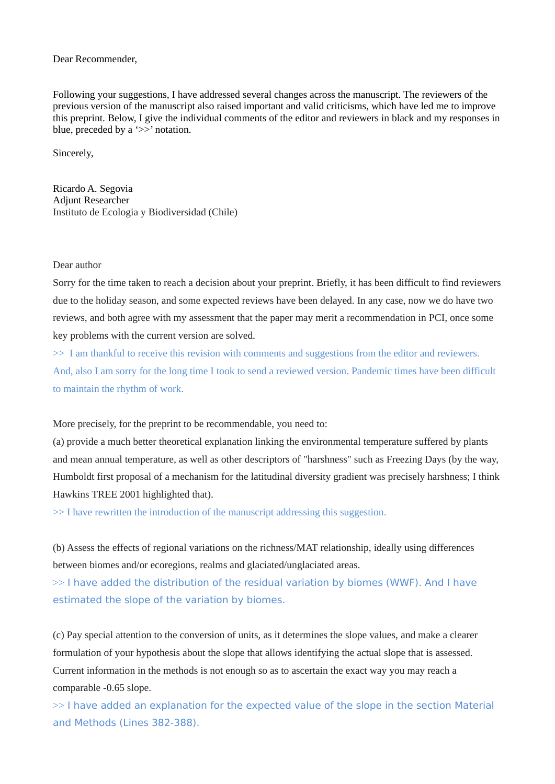#### Dear Recommender,

Following your suggestions, I have addressed several changes across the manuscript. The reviewers of the previous version of the manuscript also raised important and valid criticisms, which have led me to improve this preprint. Below, I give the individual comments of the editor and reviewers in black and my responses in blue, preceded by a '>>' notation.

Sincerely,

Ricardo A. Segovia Adjunt Researcher Instituto de Ecologia y Biodiversidad (Chile)

#### Dear author

Sorry for the time taken to reach a decision about your preprint. Briefly, it has been difficult to find reviewers due to the holiday season, and some expected reviews have been delayed. In any case, now we do have two reviews, and both agree with my assessment that the paper may merit a recommendation in PCI, once some key problems with the current version are solved.

>> I am thankful to receive this revision with comments and suggestions from the editor and reviewers. And, also I am sorry for the long time I took to send a reviewed version. Pandemic times have been difficult to maintain the rhythm of work.

More precisely, for the preprint to be recommendable, you need to:

(a) provide a much better theoretical explanation linking the environmental temperature suffered by plants and mean annual temperature, as well as other descriptors of "harshness" such as Freezing Days (by the way, Humboldt first proposal of a mechanism for the latitudinal diversity gradient was precisely harshness; I think Hawkins TREE 2001 highlighted that).

>> I have rewritten the introduction of the manuscript addressing this suggestion.

(b) Assess the effects of regional variations on the richness/MAT relationship, ideally using differences between biomes and/or ecoregions, realms and glaciated/unglaciated areas.

>> I have added the distribution of the residual variation by biomes (WWF). And I have estimated the slope of the variation by biomes.

(c) Pay special attention to the conversion of units, as it determines the slope values, and make a clearer formulation of your hypothesis about the slope that allows identifying the actual slope that is assessed. Current information in the methods is not enough so as to ascertain the exact way you may reach a comparable -0.65 slope.

>> I have added an explanation for the expected value of the slope in the section Material and Methods (Lines 382-388).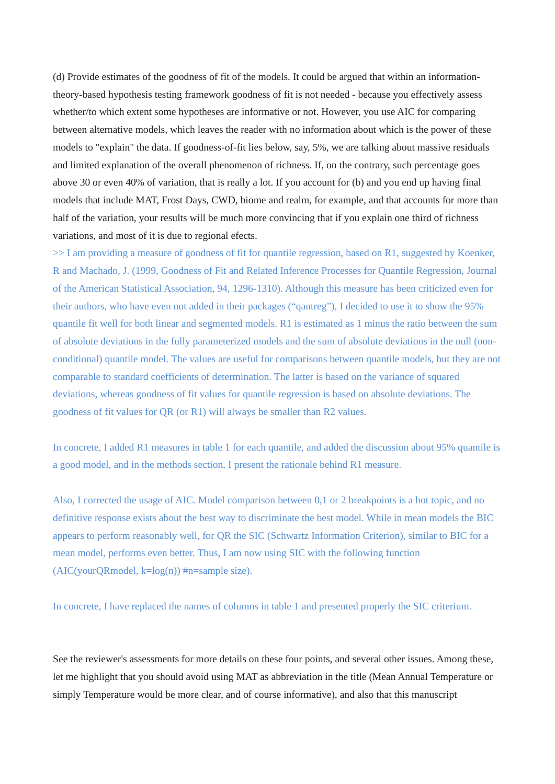(d) Provide estimates of the goodness of fit of the models. It could be argued that within an informationtheory-based hypothesis testing framework goodness of fit is not needed - because you effectively assess whether/to which extent some hypotheses are informative or not. However, you use AIC for comparing between alternative models, which leaves the reader with no information about which is the power of these models to "explain" the data. If goodness-of-fit lies below, say, 5%, we are talking about massive residuals and limited explanation of the overall phenomenon of richness. If, on the contrary, such percentage goes above 30 or even 40% of variation, that is really a lot. If you account for (b) and you end up having final models that include MAT, Frost Days, CWD, biome and realm, for example, and that accounts for more than half of the variation, your results will be much more convincing that if you explain one third of richness variations, and most of it is due to regional efects.

>> I am providing a measure of goodness of fit for quantile regression, based on R1, suggested by Koenker, R and Machado, J. (1999, Goodness of Fit and Related Inference Processes for Quantile Regression, Journal of the American Statistical Association, 94, 1296-1310). Although this measure has been criticized even for their authors, who have even not added in their packages ("qantreg"), I decided to use it to show the 95% quantile fit well for both linear and segmented models. R1 is estimated as 1 minus the ratio between the sum of absolute deviations in the fully parameterized models and the sum of absolute deviations in the null (nonconditional) quantile model. The values are useful for comparisons between quantile models, but they are not comparable to standard coefficients of determination. The latter is based on the variance of squared deviations, whereas goodness of fit values for quantile regression is based on absolute deviations. The goodness of fit values for QR (or R1) will always be smaller than R2 values.

In concrete, I added R1 measures in table 1 for each quantile, and added the discussion about 95% quantile is a good model, and in the methods section, I present the rationale behind R1 measure.

Also, I corrected the usage of AIC. Model comparison between 0,1 or 2 breakpoints is a hot topic, and no definitive response exists about the best way to discriminate the best model. While in mean models the BIC appears to perform reasonably well, for QR the SIC (Schwartz Information Criterion), similar to BIC for a mean model, performs even better. Thus, I am now using SIC with the following function  $(AIC(yourQRmodel, k=log(n))$ #n=sample size).

In concrete, I have replaced the names of columns in table 1 and presented properly the SIC criterium.

See the reviewer's assessments for more details on these four points, and several other issues. Among these, let me highlight that you should avoid using MAT as abbreviation in the title (Mean Annual Temperature or simply Temperature would be more clear, and of course informative), and also that this manuscript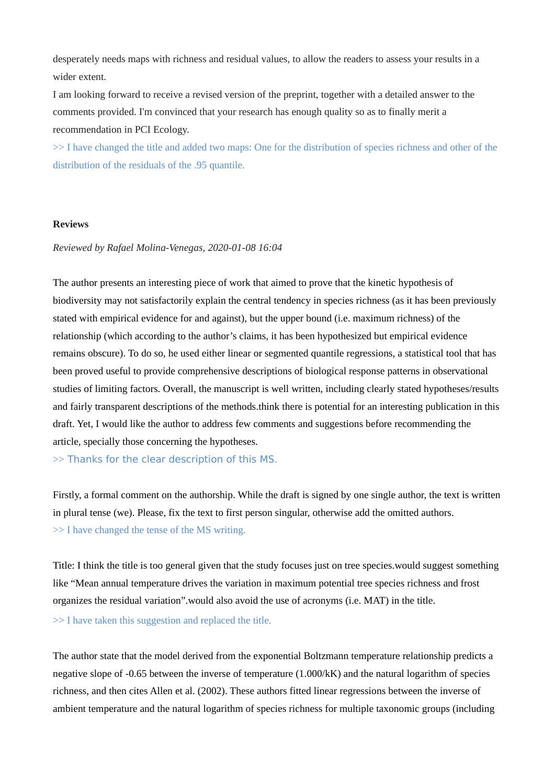desperately needs maps with richness and residual values, to allow the readers to assess your results in a wider extent.

I am looking forward to receive a revised version of the preprint, together with a detailed answer to the comments provided. I'm convinced that your research has enough quality so as to finally merit a recommendation in PCI Ecology.

>> I have changed the title and added two maps: One for the distribution of species richness and other of the distribution of the residuals of the .95 quantile.

#### **Reviews**

*Reviewed by Rafael Molina-Venegas, 2020-01-08 16:04*

The author presents an interesting piece of work that aimed to prove that the kinetic hypothesis of biodiversity may not satisfactorily explain the central tendency in species richness (as it has been previously stated with empirical evidence for and against), but the upper bound (i.e. maximum richness) of the relationship (which according to the author's claims, it has been hypothesized but empirical evidence remains obscure). To do so, he used either linear or segmented quantile regressions, a statistical tool that has been proved useful to provide comprehensive descriptions of biological response patterns in observational studies of limiting factors. Overall, the manuscript is well written, including clearly stated hypotheses/results and fairly transparent descriptions of the methods.think there is potential for an interesting publication in this draft. Yet, I would like the author to address few comments and suggestions before recommending the article, specially those concerning the hypotheses.

>> Thanks for the clear description of this MS.

Firstly, a formal comment on the authorship. While the draft is signed by one single author, the text is written in plural tense (we). Please, fix the text to first person singular, otherwise add the omitted authors. >> I have changed the tense of the MS writing.

Title: I think the title is too general given that the study focuses just on tree species.would suggest something like "Mean annual temperature drives the variation in maximum potential tree species richness and frost organizes the residual variation".would also avoid the use of acronyms (i.e. MAT) in the title. >> I have taken this suggestion and replaced the title.

The author state that the model derived from the exponential Boltzmann temperature relationship predicts a negative slope of -0.65 between the inverse of temperature (1.000/kK) and the natural logarithm of species richness, and then cites Allen et al. (2002). These authors fitted linear regressions between the inverse of ambient temperature and the natural logarithm of species richness for multiple taxonomic groups (including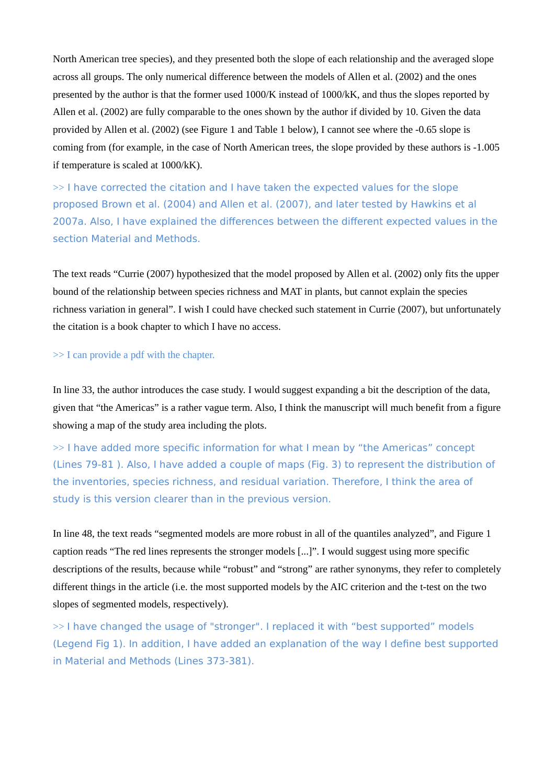North American tree species), and they presented both the slope of each relationship and the averaged slope across all groups. The only numerical difference between the models of Allen et al. (2002) and the ones presented by the author is that the former used 1000/K instead of 1000/kK, and thus the slopes reported by Allen et al. (2002) are fully comparable to the ones shown by the author if divided by 10. Given the data provided by Allen et al. (2002) (see Figure 1 and Table 1 below), I cannot see where the -0.65 slope is coming from (for example, in the case of North American trees, the slope provided by these authors is -1.005 if temperature is scaled at 1000/kK).

>> I have corrected the citation and I have taken the expected values for the slope proposed Brown et al. (2004) and Allen et al. (2007), and later tested by Hawkins et al 2007a. Also, I have explained the differences between the different expected values in the section Material and Methods.

The text reads "Currie (2007) hypothesized that the model proposed by Allen et al. (2002) only fits the upper bound of the relationship between species richness and MAT in plants, but cannot explain the species richness variation in general". I wish I could have checked such statement in Currie (2007), but unfortunately the citation is a book chapter to which I have no access.

## >> I can provide a pdf with the chapter.

In line 33, the author introduces the case study. I would suggest expanding a bit the description of the data, given that "the Americas" is a rather vague term. Also, I think the manuscript will much benefit from a figure showing a map of the study area including the plots.

>> I have added more specific information for what I mean by "the Americas" concept (Lines 79-81 ). Also, I have added a couple of maps (Fig. 3) to represent the distribution of the inventories, species richness, and residual variation. Therefore, I think the area of study is this version clearer than in the previous version.

In line 48, the text reads "segmented models are more robust in all of the quantiles analyzed", and Figure 1 caption reads "The red lines represents the stronger models [...]". I would suggest using more specific descriptions of the results, because while "robust" and "strong" are rather synonyms, they refer to completely different things in the article (i.e. the most supported models by the AIC criterion and the t-test on the two slopes of segmented models, respectively).

>> I have changed the usage of "stronger". I replaced it with "best supported" models (Legend Fig 1). In addition, I have added an explanation of the way I define best supported in Material and Methods (Lines 373-381).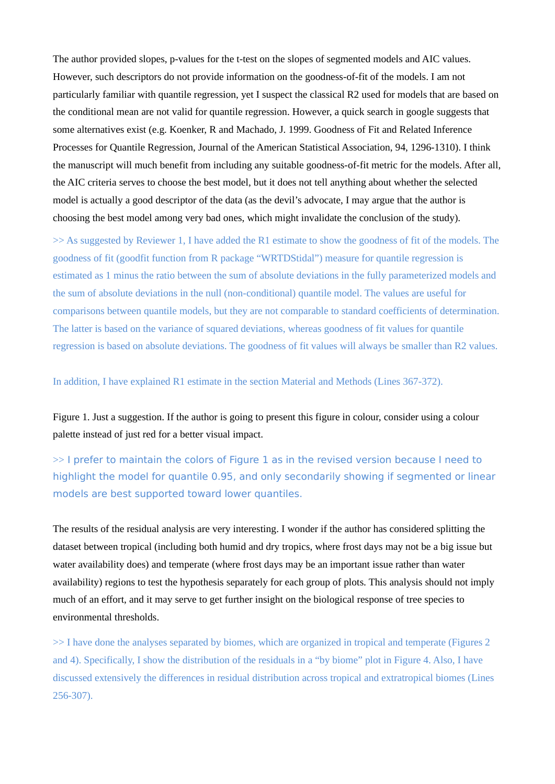The author provided slopes, p-values for the t-test on the slopes of segmented models and AIC values. However, such descriptors do not provide information on the goodness-of-fit of the models. I am not particularly familiar with quantile regression, yet I suspect the classical R2 used for models that are based on the conditional mean are not valid for quantile regression. However, a quick search in google suggests that some alternatives exist (e.g. Koenker, R and Machado, J. 1999. Goodness of Fit and Related Inference Processes for Quantile Regression, Journal of the American Statistical Association, 94, 1296-1310). I think the manuscript will much benefit from including any suitable goodness-of-fit metric for the models. After all, the AIC criteria serves to choose the best model, but it does not tell anything about whether the selected model is actually a good descriptor of the data (as the devil's advocate, I may argue that the author is choosing the best model among very bad ones, which might invalidate the conclusion of the study).

>> As suggested by Reviewer 1, I have added the R1 estimate to show the goodness of fit of the models. The goodness of fit (goodfit function from R package "WRTDStidal") measure for quantile regression is estimated as 1 minus the ratio between the sum of absolute deviations in the fully parameterized models and the sum of absolute deviations in the null (non-conditional) quantile model. The values are useful for comparisons between quantile models, but they are not comparable to standard coefficients of determination. The latter is based on the variance of squared deviations, whereas goodness of fit values for quantile regression is based on absolute deviations. The goodness of fit values will always be smaller than R2 values.

In addition, I have explained R1 estimate in the section Material and Methods (Lines 367-372).

Figure 1. Just a suggestion. If the author is going to present this figure in colour, consider using a colour palette instead of just red for a better visual impact.

>> I prefer to maintain the colors of Figure 1 as in the revised version because I need to highlight the model for quantile 0.95, and only secondarily showing if segmented or linear models are best supported toward lower quantiles.

The results of the residual analysis are very interesting. I wonder if the author has considered splitting the dataset between tropical (including both humid and dry tropics, where frost days may not be a big issue but water availability does) and temperate (where frost days may be an important issue rather than water availability) regions to test the hypothesis separately for each group of plots. This analysis should not imply much of an effort, and it may serve to get further insight on the biological response of tree species to environmental thresholds.

>> I have done the analyses separated by biomes, which are organized in tropical and temperate (Figures 2 and 4). Specifically, I show the distribution of the residuals in a "by biome" plot in Figure 4. Also, I have discussed extensively the differences in residual distribution across tropical and extratropical biomes (Lines 256-307).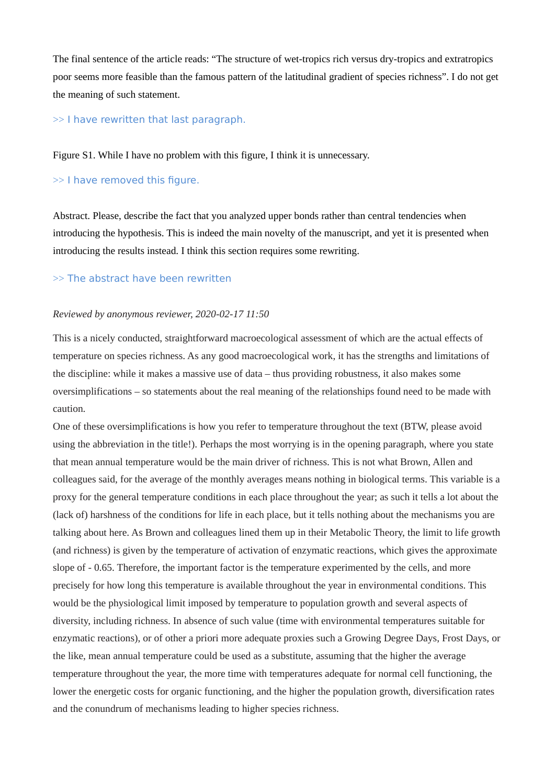The final sentence of the article reads: "The structure of wet-tropics rich versus dry-tropics and extratropics poor seems more feasible than the famous pattern of the latitudinal gradient of species richness". I do not get the meaning of such statement.

## >> I have rewritten that last paragraph.

Figure S1. While I have no problem with this figure, I think it is unnecessary.

# >> I have removed this figure.

Abstract. Please, describe the fact that you analyzed upper bonds rather than central tendencies when introducing the hypothesis. This is indeed the main novelty of the manuscript, and yet it is presented when introducing the results instead. I think this section requires some rewriting.

## >> The abstract have been rewritten

### *Reviewed by anonymous reviewer, 2020-02-17 11:50*

This is a nicely conducted, straightforward macroecological assessment of which are the actual effects of temperature on species richness. As any good macroecological work, it has the strengths and limitations of the discipline: while it makes a massive use of data – thus providing robustness, it also makes some oversimplifications – so statements about the real meaning of the relationships found need to be made with caution.

One of these oversimplifications is how you refer to temperature throughout the text (BTW, please avoid using the abbreviation in the title!). Perhaps the most worrying is in the opening paragraph, where you state that mean annual temperature would be the main driver of richness. This is not what Brown, Allen and colleagues said, for the average of the monthly averages means nothing in biological terms. This variable is a proxy for the general temperature conditions in each place throughout the year; as such it tells a lot about the (lack of) harshness of the conditions for life in each place, but it tells nothing about the mechanisms you are talking about here. As Brown and colleagues lined them up in their Metabolic Theory, the limit to life growth (and richness) is given by the temperature of activation of enzymatic reactions, which gives the approximate slope of - 0.65. Therefore, the important factor is the temperature experimented by the cells, and more precisely for how long this temperature is available throughout the year in environmental conditions. This would be the physiological limit imposed by temperature to population growth and several aspects of diversity, including richness. In absence of such value (time with environmental temperatures suitable for enzymatic reactions), or of other a priori more adequate proxies such a Growing Degree Days, Frost Days, or the like, mean annual temperature could be used as a substitute, assuming that the higher the average temperature throughout the year, the more time with temperatures adequate for normal cell functioning, the lower the energetic costs for organic functioning, and the higher the population growth, diversification rates and the conundrum of mechanisms leading to higher species richness.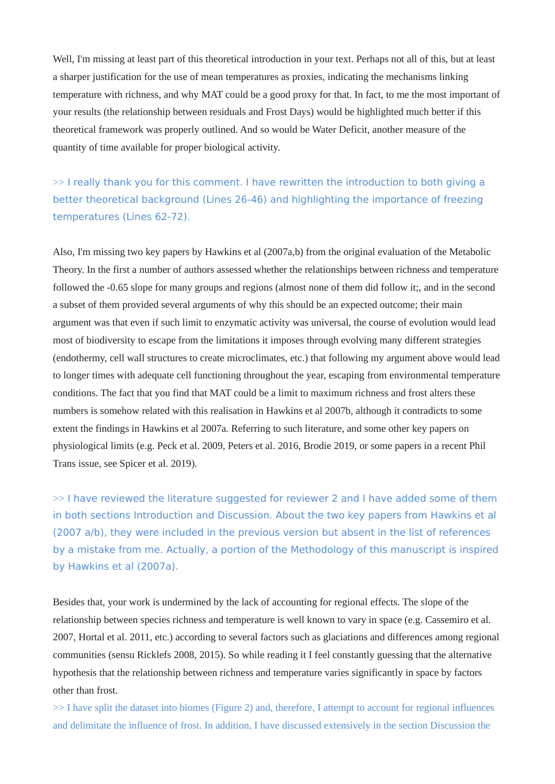Well, I'm missing at least part of this theoretical introduction in your text. Perhaps not all of this, but at least a sharper justification for the use of mean temperatures as proxies, indicating the mechanisms linking temperature with richness, and why MAT could be a good proxy for that. In fact, to me the most important of your results (the relationship between residuals and Frost Days) would be highlighted much better if this theoretical framework was properly outlined. And so would be Water Deficit, another measure of the quantity of time available for proper biological activity.

>> I really thank you for this comment. I have rewritten the introduction to both giving a better theoretical background (Lines 26-46) and highlighting the importance of freezing temperatures (Lines 62-72).

Also, I'm missing two key papers by Hawkins et al (2007a,b) from the original evaluation of the Metabolic Theory. In the first a number of authors assessed whether the relationships between richness and temperature followed the -0.65 slope for many groups and regions (almost none of them did follow it;, and in the second a subset of them provided several arguments of why this should be an expected outcome; their main argument was that even if such limit to enzymatic activity was universal, the course of evolution would lead most of biodiversity to escape from the limitations it imposes through evolving many different strategies (endothermy, cell wall structures to create microclimates, etc.) that following my argument above would lead to longer times with adequate cell functioning throughout the year, escaping from environmental temperature conditions. The fact that you find that MAT could be a limit to maximum richness and frost alters these numbers is somehow related with this realisation in Hawkins et al 2007b, although it contradicts to some extent the findings in Hawkins et al 2007a. Referring to such literature, and some other key papers on physiological limits (e.g. Peck et al. 2009, Peters et al. 2016, Brodie 2019, or some papers in a recent Phil Trans issue, see Spicer et al. 2019).

>> I have reviewed the literature suggested for reviewer 2 and I have added some of them in both sections Introduction and Discussion. About the two key papers from Hawkins et al (2007 a/b), they were included in the previous version but absent in the list of references by a mistake from me. Actually, a portion of the Methodology of this manuscript is inspired by Hawkins et al (2007a).

Besides that, your work is undermined by the lack of accounting for regional effects. The slope of the relationship between species richness and temperature is well known to vary in space (e.g. Cassemiro et al. 2007, Hortal et al. 2011, etc.) according to several factors such as glaciations and differences among regional communities (sensu Ricklefs 2008, 2015). So while reading it I feel constantly guessing that the alternative hypothesis that the relationship between richness and temperature varies significantly in space by factors other than frost.

>> I have split the dataset into biomes (Figure 2) and, therefore, I attempt to account for regional influences and delimitate the influence of frost. In addition, I have discussed extensively in the section Discussion the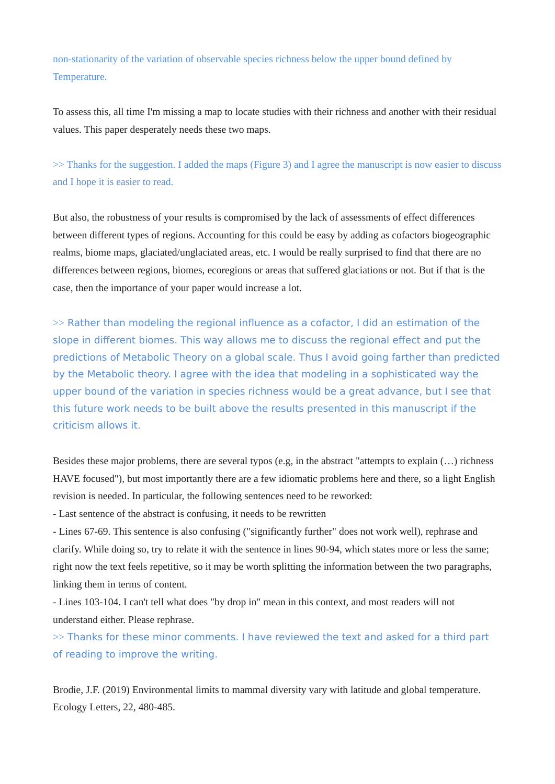non-stationarity of the variation of observable species richness below the upper bound defined by Temperature.

To assess this, all time I'm missing a map to locate studies with their richness and another with their residual values. This paper desperately needs these two maps.

>> Thanks for the suggestion. I added the maps (Figure 3) and I agree the manuscript is now easier to discuss and I hope it is easier to read.

But also, the robustness of your results is compromised by the lack of assessments of effect differences between different types of regions. Accounting for this could be easy by adding as cofactors biogeographic realms, biome maps, glaciated/unglaciated areas, etc. I would be really surprised to find that there are no differences between regions, biomes, ecoregions or areas that suffered glaciations or not. But if that is the case, then the importance of your paper would increase a lot.

>> Rather than modeling the regional influence as a cofactor, I did an estimation of the slope in different biomes. This way allows me to discuss the regional effect and put the predictions of Metabolic Theory on a global scale. Thus I avoid going farther than predicted by the Metabolic theory. I agree with the idea that modeling in a sophisticated way the upper bound of the variation in species richness would be a great advance, but I see that this future work needs to be built above the results presented in this manuscript if the criticism allows it.

Besides these major problems, there are several typos (e.g, in the abstract "attempts to explain (…) richness HAVE focused"), but most importantly there are a few idiomatic problems here and there, so a light English revision is needed. In particular, the following sentences need to be reworked:

- Last sentence of the abstract is confusing, it needs to be rewritten

- Lines 67-69. This sentence is also confusing ("significantly further" does not work well), rephrase and clarify. While doing so, try to relate it with the sentence in lines 90-94, which states more or less the same; right now the text feels repetitive, so it may be worth splitting the information between the two paragraphs, linking them in terms of content.

- Lines 103-104. I can't tell what does "by drop in" mean in this context, and most readers will not understand either. Please rephrase.

>> Thanks for these minor comments. I have reviewed the text and asked for a third part of reading to improve the writing.

Brodie, J.F. (2019) Environmental limits to mammal diversity vary with latitude and global temperature. Ecology Letters, 22, 480-485.